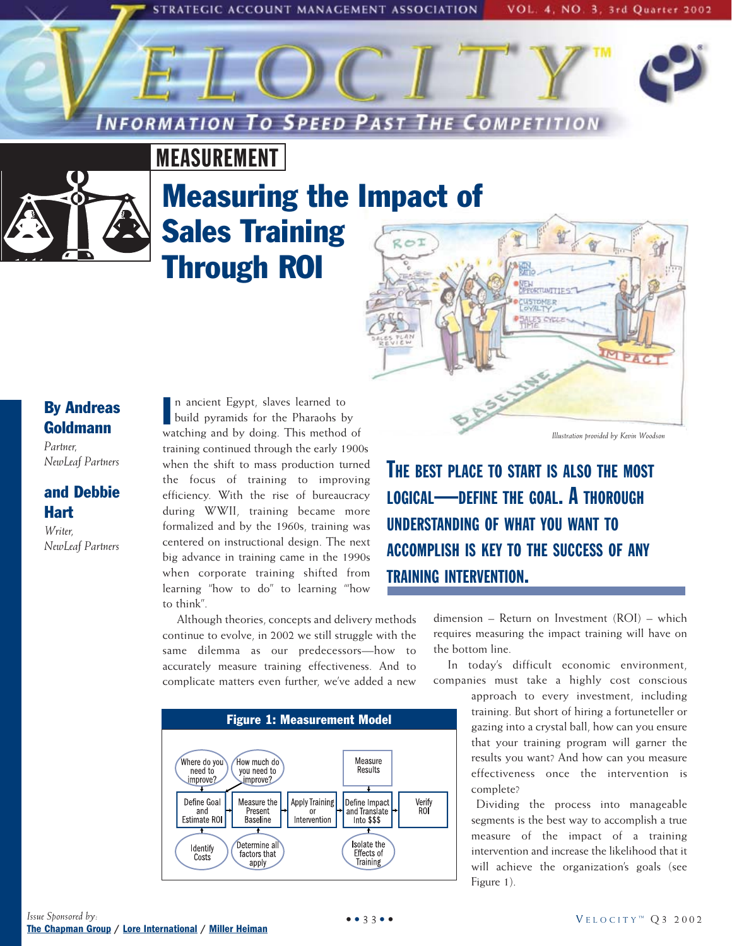STRATEGIC ACCOUNT MANAGEMENT ASSOCIATION

**INFORMATION TO SPEED PAST THE COMPETITION** 

VOL. 4, NO. 3, 3rd Quarter 2002

# MEASUREMENT



# Measuring the Impact of Sales Training Through ROI



## By Andreas Goldmann

*Partner, NewLeaf Partners*

### and Debbie Hart

*Writer, NewLeaf Partners*

n ancient Egypt, slaves learned to build pyramids for the Pharaohs by In ancient Egypt, slaves learned to<br>build pyramids for the Pharaohs by<br>watching and by doing. This method of training continued through the early 1900s when the shift to mass production turned the focus of training to improving efficiency. With the rise of bureaucracy during WWII, training became more formalized and by the 1960s, training was centered on instructional design. The next big advance in training came in the 1990s when corporate training shifted from learning "how to do" to learning "'how to think".

Although theories, concepts and delivery methods continue to evolve, in 2002 we still struggle with the same dilemma as our predecessors—how to accurately measure training effectiveness. And to complicate matters even further, we've added a new



*Illustration provided by Kevin Woodson*

THE BEST PLACE TO START IS ALSO THE MOST LOGICAL—DEFINE THE GOAL. A THOROUGH UNDERSTANDING OF WHAT YOU WANT TO ACCOMPLISH IS KEY TO THE SUCCESS OF ANY TRAINING INTERVENTION.

> dimension – Return on Investment (ROI) – which requires measuring the impact training will have on the bottom line.

> In today's difficult economic environment, companies must take a highly cost conscious

> > approach to every investment, including training. But short of hiring a fortuneteller or gazing into a crystal ball, how can you ensure that your training program will garner the results you want? And how can you measure effectiveness once the intervention is complete?

> > Dividing the process into manageable segments is the best way to accomplish a true measure of the impact of a training intervention and increase the likelihood that it will achieve the organization's goals (see Figure 1).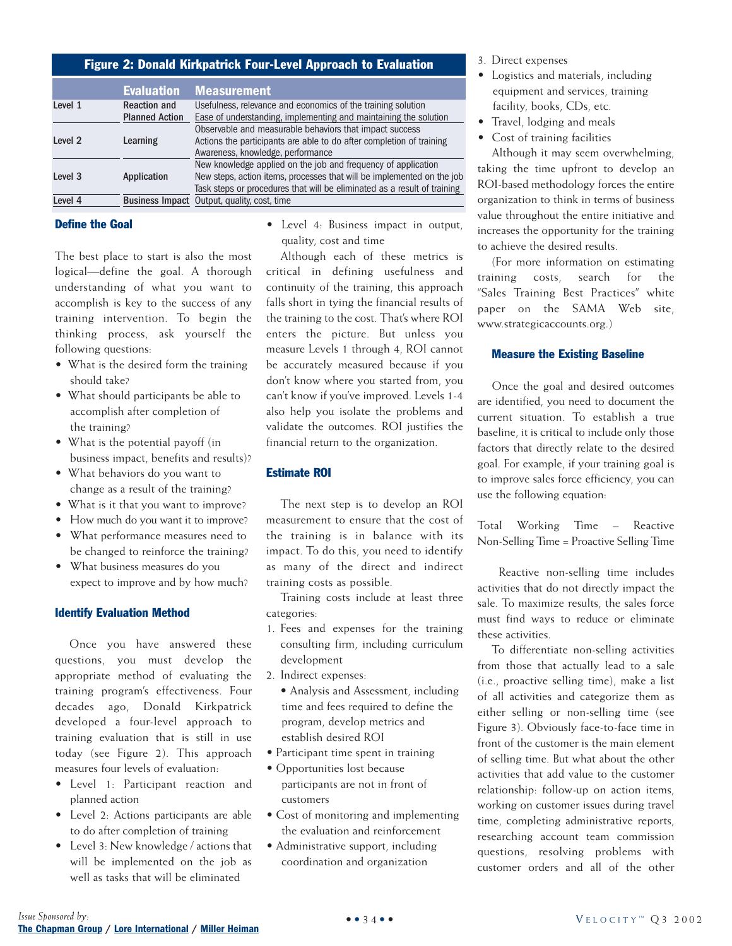| Figure 2: Donald Kirkpatrick Four-Level Approach to Evaluation |                       |                                                                          |  |  |  |
|----------------------------------------------------------------|-----------------------|--------------------------------------------------------------------------|--|--|--|
|                                                                | <b>Evaluation</b>     | <b>Measurement</b>                                                       |  |  |  |
| Level 1                                                        | <b>Reaction and</b>   | Usefulness, relevance and economics of the training solution             |  |  |  |
|                                                                | <b>Planned Action</b> | Ease of understanding, implementing and maintaining the solution         |  |  |  |
|                                                                |                       | Observable and measurable behaviors that impact success                  |  |  |  |
| Level <sub>2</sub>                                             | Learning              | Actions the participants are able to do after completion of training     |  |  |  |
|                                                                |                       | Awareness, knowledge, performance                                        |  |  |  |
|                                                                |                       | New knowledge applied on the job and frequency of application            |  |  |  |
| Level <sub>3</sub>                                             | Application           | New steps, action items, processes that will be implemented on the job   |  |  |  |
|                                                                |                       | Task steps or procedures that will be eliminated as a result of training |  |  |  |
| Level 4                                                        |                       | <b>Business Impact</b> Output, quality, cost, time                       |  |  |  |

#### Define the Goal

The best place to start is also the most logical—define the goal. A thorough understanding of what you want to accomplish is key to the success of any training intervention. To begin the thinking process, ask yourself the following questions:

- What is the desired form the training should take?
- What should participants be able to accomplish after completion of the training?
- What is the potential payoff (in business impact, benefits and results)?
- What behaviors do you want to change as a result of the training?
- What is it that you want to improve?
- How much do you want it to improve?
- What performance measures need to be changed to reinforce the training?
- What business measures do you expect to improve and by how much?

#### Identify Evaluation Method

Once you have answered these questions, you must develop the appropriate method of evaluating the training program's effectiveness. Four decades ago, Donald Kirkpatrick developed a four-level approach to training evaluation that is still in use today (see Figure 2). This approach measures four levels of evaluation:

- Level 1: Participant reaction and planned action
- Level 2: Actions participants are able to do after completion of training
- Level 3: New knowledge / actions that will be implemented on the job as well as tasks that will be eliminated

• Level 4: Business impact in output, quality, cost and time

Although each of these metrics is critical in defining usefulness and continuity of the training, this approach falls short in tying the financial results of the training to the cost. That's where ROI enters the picture. But unless you measure Levels 1 through 4, ROI cannot be accurately measured because if you don't know where you started from, you can't know if you've improved. Levels 1-4 also help you isolate the problems and validate the outcomes. ROI justifies the financial return to the organization.

#### Estimate ROI

The next step is to develop an ROI measurement to ensure that the cost of the training is in balance with its impact. To do this, you need to identify as many of the direct and indirect training costs as possible.

Training costs include at least three categories:

- 1. Fees and expenses for the training consulting firm, including curriculum development
- 2. Indirect expenses:
- Analysis and Assessment, including time and fees required to define the program, develop metrics and establish desired ROI
- Participant time spent in training
- Opportunities lost because participants are not in front of customers
- Cost of monitoring and implementing the evaluation and reinforcement
- Administrative support, including coordination and organization

3. Direct expenses

- Logistics and materials, including equipment and services, training facility, books, CDs, etc.
- Travel, lodging and meals
- Cost of training facilities

Although it may seem overwhelming, taking the time upfront to develop an ROI-based methodology forces the entire organization to think in terms of business value throughout the entire initiative and increases the opportunity for the training to achieve the desired results.

(For more information on estimating training costs, search for the "Sales Training Best Practices" white paper on the SAMA Web site, www.strategicaccounts.org.)

#### Measure the Existing Baseline

Once the goal and desired outcomes are identified, you need to document the current situation. To establish a true baseline, it is critical to include only those factors that directly relate to the desired goal. For example, if your training goal is to improve sales force efficiency, you can use the following equation:

Total Working Time – Reactive Non-Selling Time = Proactive Selling Time

Reactive non-selling time includes activities that do not directly impact the sale. To maximize results, the sales force must find ways to reduce or eliminate these activities.

To differentiate non-selling activities from those that actually lead to a sale (i.e., proactive selling time), make a list of all activities and categorize them as either selling or non-selling time (see Figure 3). Obviously face-to-face time in front of the customer is the main element of selling time. But what about the other activities that add value to the customer relationship: follow-up on action items, working on customer issues during travel time, completing administrative reports, researching account team commission questions, resolving problems with customer orders and all of the other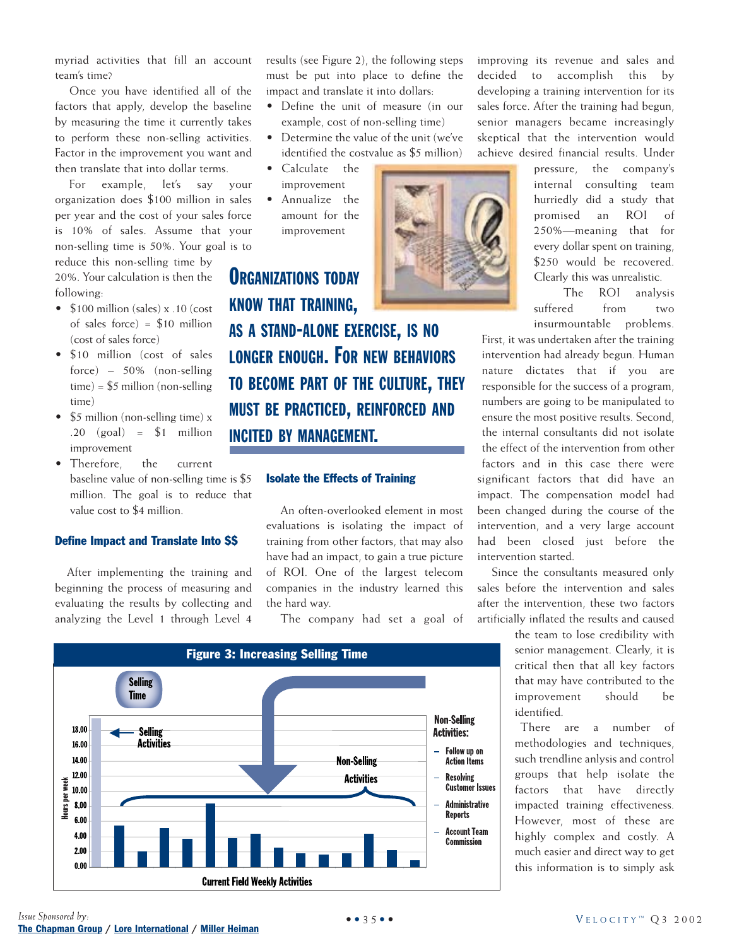myriad activities that fill an account team's time?

Once you have identified all of the factors that apply, develop the baseline by measuring the time it currently takes to perform these non-selling activities. Factor in the improvement you want and then translate that into dollar terms.

For example, let's say your organization does \$100 million in sales per year and the cost of your sales force is 10% of sales. Assume that your non-selling time is 50%. Your goal is to

reduce this non-selling time by 20%. Your calculation is then the following:

- \$100 million (sales) x .10 (cost of sales force) =  $$10$  million (cost of sales force)
- \$10 million (cost of sales force) – 50% (non-selling  $time) = $5$  million (non-selling) time)
- \$5 million (non-selling time) x  $.20$  (goal) = \$1 million improvement
- Therefore, the current baseline value of non-selling time is \$5 million. The goal is to reduce that value cost to \$4 million.

#### Define Impact and Translate Into \$\$

After implementing the training and beginning the process of measuring and evaluating the results by collecting and analyzing the Level 1 through Level 4 results (see Figure 2), the following steps must be put into place to define the impact and translate it into dollars:

- Define the unit of measure (in our example, cost of non-selling time)
- Determine the value of the unit (we've identified the costvalue as \$5 million)
- Calculate the improvement
- Annualize the amount for the improvement

**ORGANIZATIONS TODAY** KNOW THAT TRAINING, AS A STAND-ALONE EXERCISE, IS NO LONGER ENOUGH. FOR NEW BEHAVIORS TO BECOME PART OF THE CULTURE, THEY MUST BE PRACTICED, REINFORCED AND INCITED BY MANAGEMENT.

#### Isolate the Effects of Training

An often-overlooked element in most evaluations is isolating the impact of training from other factors, that may also have had an impact, to gain a true picture of ROI. One of the largest telecom companies in the industry learned this the hard way.

The company had set a goal of



improving its revenue and sales and decided to accomplish this by developing a training intervention for its sales force. After the training had begun, senior managers became increasingly skeptical that the intervention would achieve desired financial results. Under

> pressure, the company's internal consulting team hurriedly did a study that promised an ROI of 250%—meaning that for every dollar spent on training, \$250 would be recovered. Clearly this was unrealistic.

The ROI analysis suffered from two insurmountable problems.

First, it was undertaken after the training intervention had already begun. Human nature dictates that if you are responsible for the success of a program, numbers are going to be manipulated to ensure the most positive results. Second, the internal consultants did not isolate the effect of the intervention from other factors and in this case there were significant factors that did have an impact. The compensation model had been changed during the course of the intervention, and a very large account had been closed just before the intervention started.

Since the consultants measured only sales before the intervention and sales after the intervention, these two factors artificially inflated the results and caused

> the team to lose credibility with senior management. Clearly, it is critical then that all key factors that may have contributed to the improvement should be identified.

> There are a number of methodologies and techniques, such trendline anlysis and control groups that help isolate the factors that have directly impacted training effectiveness. However, most of these are highly complex and costly. A much easier and direct way to get this information is to simply ask